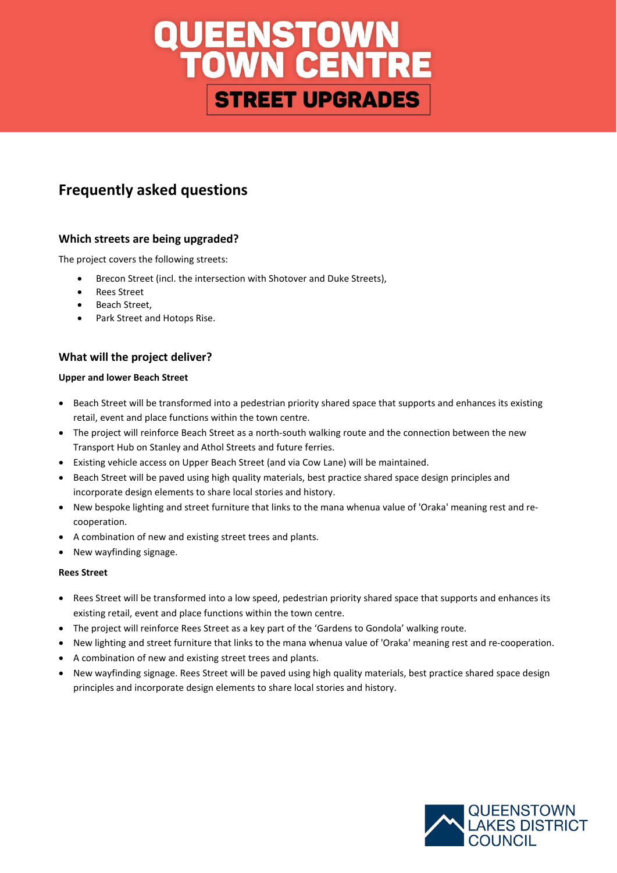# **UEENSTOWN<br>TOWN CENTRE STREET UPGRADES**

## **Frequently asked questions**

## **Which streets are being upgraded?**

The project covers the following streets:

- Brecon Street (incl. the intersection with Shotover and Duke Streets),
- Rees Street
- Beach Street,
- Park Street and Hotops Rise.

## **What will the project deliver?**

## **Upper and lower Beach Street**

- Beach Street will be transformed into a pedestrian priority shared space that supports and enhances its existing retail, event and place functions within the town centre.
- The project will reinforce Beach Street as a north-south walking route and the connection between the new Transport Hub on Stanley and Athol Streets and future ferries.
- Existing vehicle access on Upper Beach Street (and via Cow Lane) will be maintained.
- Beach Street will be paved using high quality materials, best practice shared space design principles and incorporate design elements to share local stories and history.
- New bespoke lighting and street furniture that links to the mana whenua value of 'Oraka' meaning rest and recooperation.
- A combination of new and existing street trees and plants.
- New wayfinding signage.

### **Rees Street**

- Rees Street will be transformed into a low speed, pedestrian priority shared space that supports and enhances its existing retail, event and place functions within the town centre.
- The project will reinforce Rees Street as a key part of the 'Gardens to Gondola' walking route.
- New lighting and street furniture that links to the mana whenua value of 'Oraka' meaning rest and re-cooperation.
- A combination of new and existing street trees and plants.
- New wayfinding signage. Rees Street will be paved using high quality materials, best practice shared space design principles and incorporate design elements to share local stories and history.

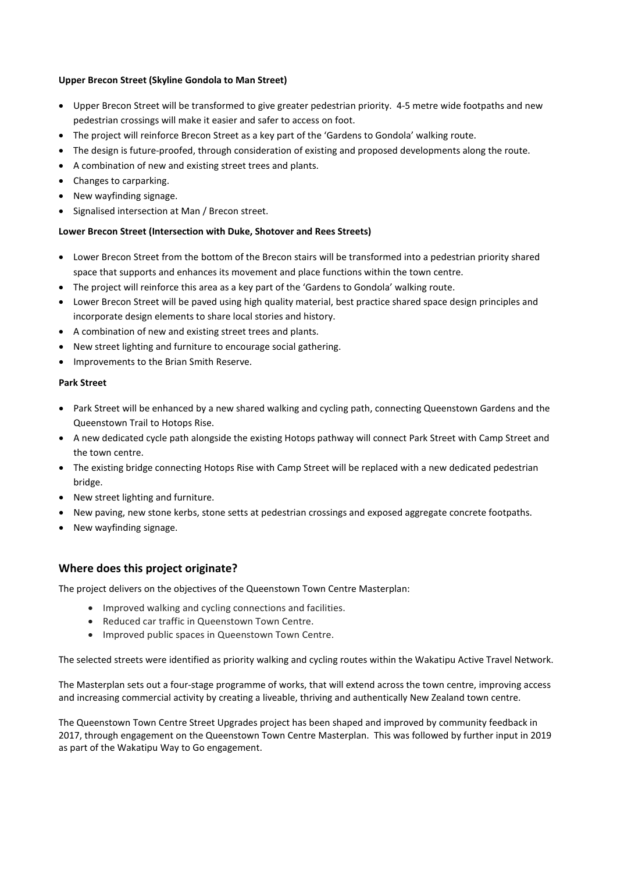## **Upper Brecon Street (Skyline Gondola to Man Street)**

- Upper Brecon Street will be transformed to give greater pedestrian priority. 4-5 metre wide footpaths and new pedestrian crossings will make it easier and safer to access on foot.
- The project will reinforce Brecon Street as a key part of the 'Gardens to Gondola' walking route.
- The design is future-proofed, through consideration of existing and proposed developments along the route.
- A combination of new and existing street trees and plants.
- Changes to carparking.
- New wayfinding signage.
- Signalised intersection at Man / Brecon street.

### **Lower Brecon Street (Intersection with Duke, Shotover and Rees Streets)**

- Lower Brecon Street from the bottom of the Brecon stairs will be transformed into a pedestrian priority shared space that supports and enhances its movement and place functions within the town centre.
- The project will reinforce this area as a key part of the 'Gardens to Gondola' walking route.
- Lower Brecon Street will be paved using high quality material, best practice shared space design principles and incorporate design elements to share local stories and history.
- A combination of new and existing street trees and plants.
- New street lighting and furniture to encourage social gathering.
- Improvements to the Brian Smith Reserve.

### **Park Street**

- Park Street will be enhanced by a new shared walking and cycling path, connecting Queenstown Gardens and the Queenstown Trail to Hotops Rise.
- A new dedicated cycle path alongside the existing Hotops pathway will connect Park Street with Camp Street and the town centre.
- The existing bridge connecting Hotops Rise with Camp Street will be replaced with a new dedicated pedestrian bridge.
- New street lighting and furniture.
- New paving, new stone kerbs, stone setts at pedestrian crossings and exposed aggregate concrete footpaths.
- New wayfinding signage.

## **Where does this project originate?**

The project delivers on the objectives of the Queenstown Town Centre Masterplan:

- Improved walking and cycling connections and facilities.
- Reduced car traffic in Queenstown Town Centre.
- Improved public spaces in Queenstown Town Centre.

The selected streets were identified as priority walking and cycling routes within the Wakatipu Active Travel Network.

The Masterplan sets out a four-stage programme of works, that will extend across the town centre, improving access and increasing commercial activity by creating a liveable, thriving and authentically New Zealand town centre.

The Queenstown Town Centre Street Upgrades project has been shaped and improved by community feedback in 2017, through engagement on the Queenstown Town Centre Masterplan. This was followed by further input in 2019 as part of the Wakatipu Way to Go engagement.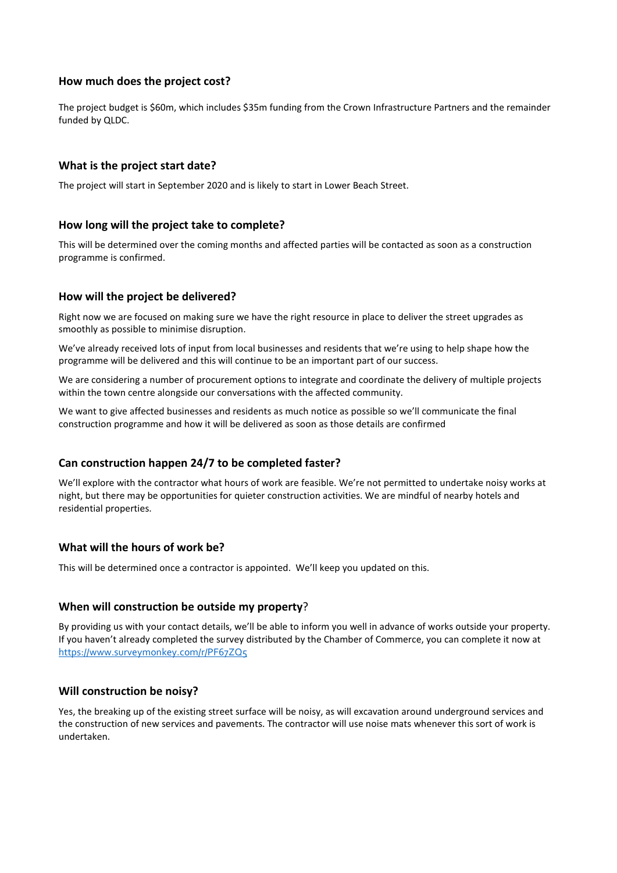## **How much does the project cost?**

The project budget is \$60m, which includes \$35m funding from the Crown Infrastructure Partners and the remainder funded by QLDC.

## **What is the project start date?**

The project will start in September 2020 and is likely to start in Lower Beach Street.

## **How long will the project take to complete?**

This will be determined over the coming months and affected parties will be contacted as soon as a construction programme is confirmed.

## **How will the project be delivered?**

Right now we are focused on making sure we have the right resource in place to deliver the street upgrades as smoothly as possible to minimise disruption.

We've already received lots of input from local businesses and residents that we're using to help shape how the programme will be delivered and this will continue to be an important part of our success.

We are considering a number of procurement options to integrate and coordinate the delivery of multiple projects within the town centre alongside our conversations with the affected community.

We want to give affected businesses and residents as much notice as possible so we'll communicate the final construction programme and how it will be delivered as soon as those details are confirmed

## **Can construction happen 24/7 to be completed faster?**

We'll explore with the contractor what hours of work are feasible. We're not permitted to undertake noisy works at night, but there may be opportunities for quieter construction activities. We are mindful of nearby hotels and residential properties.

## **What will the hours of work be?**

This will be determined once a contractor is appointed. We'll keep you updated on this.

## **When will construction be outside my property**?

By providing us with your contact details, we'll be able to inform you well in advance of works outside your property. If you haven't already completed the survey distributed by the Chamber of Commerce, you can complete it now at <https://www.surveymonkey.com/r/PF67ZQ5>

## **Will construction be noisy?**

Yes, the breaking up of the existing street surface will be noisy, as will excavation around underground services and the construction of new services and pavements. The contractor will use noise mats whenever this sort of work is undertaken.